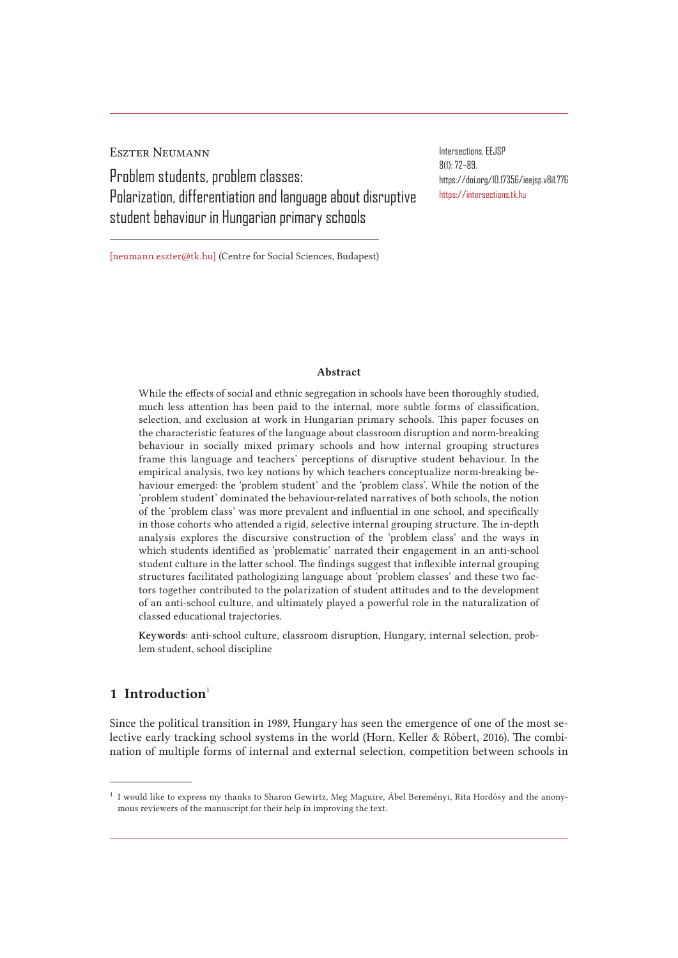Eszter Neumann Problem students, problem classes: Polarization, differentiation and language about disruptive student behaviour in Hungarian primary schools

Intersections. EEJSP 8(1): 72–89. https://doi.org/10.17356/ieejsp.v8i1.776 https://intersections.tk.hu

[neumann.eszter@tk.hu] (Centre for Social Sciences, Budapest)

#### Abstract

While the effects of social and ethnic segregation in schools have been thoroughly studied, much less attention has been paid to the internal, more subtle forms of classification, selection, and exclusion at work in Hungarian primary schools. This paper focuses on the characteristic features of the language about classroom disruption and norm-breaking behaviour in socially mixed primary schools and how internal grouping structures frame this language and teachers' perceptions of disruptive student behaviour. In the empirical analysis, two key notions by which teachers conceptualize norm-breaking behaviour emerged: the 'problem student' and the 'problem class'. While the notion of the 'problem student' dominated the behaviour-related narratives of both schools, the notion of the 'problem class' was more prevalent and influential in one school, and specifically in those cohorts who attended a rigid, selective internal grouping structure. The in-depth analysis explores the discursive construction of the 'problem class' and the ways in which students identified as 'problematic' narrated their engagement in an anti-school student culture in the latter school. The findings suggest that inflexible internal grouping structures facilitated pathologizing language about 'problem classes' and these two factors together contributed to the polarization of student attitudes and to the development of an anti-school culture, and ultimately played a powerful role in the naturalization of classed educational trajectories.

Keywords: anti-school culture, classroom disruption, Hungary, internal selection, problem student, school discipline

# 1 Introduction $<sup>1</sup>$ </sup>

Since the political transition in 1989, Hungary has seen the emergence of one of the most selective early tracking school systems in the world (Horn, Keller & Róbert, 2016). The combination of multiple forms of internal and external selection, competition between schools in

<sup>1</sup> I would like to express my thanks to Sharon Gewirtz, Meg Maguire, Ábel Bereményi, Rita Hordósy and the anonymous reviewers of the manuscript for their help in improving the text.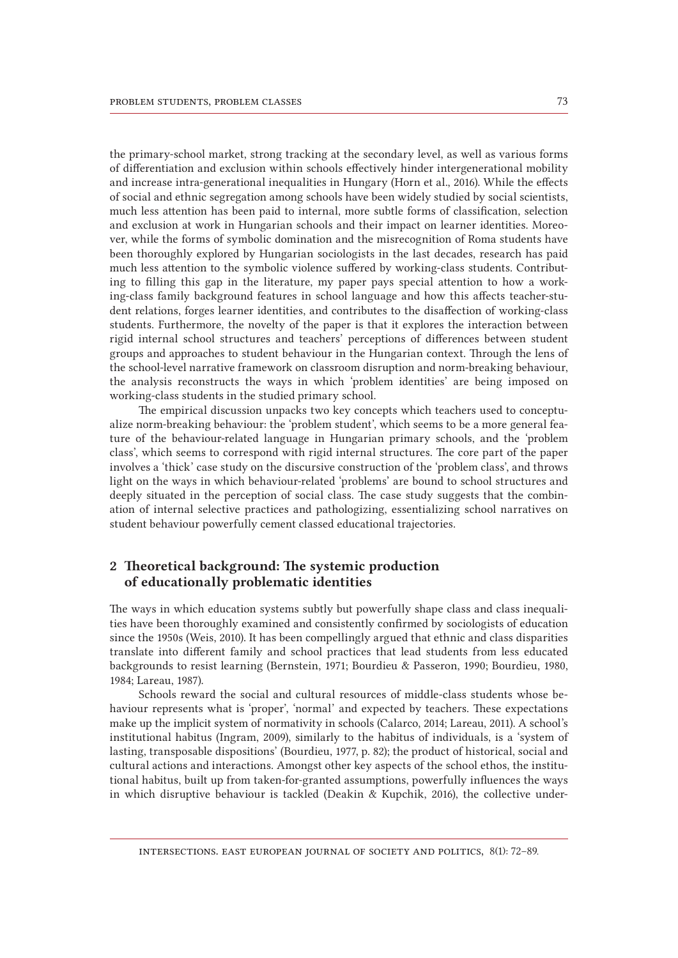the primary-school market, strong tracking at the secondary level, as well as various forms of differentiation and exclusion within schools effectively hinder intergenerational mobility and increase intra-generational inequalities in Hungary (Horn et al., 2016). While the effects of social and ethnic segregation among schools have been widely studied by social scientists, much less attention has been paid to internal, more subtle forms of classification, selection and exclusion at work in Hungarian schools and their impact on learner identities. Moreover, while the forms of symbolic domination and the misrecognition of Roma students have been thoroughly explored by Hungarian sociologists in the last decades, research has paid much less attention to the symbolic violence suffered by working-class students. Contributing to filling this gap in the literature, my paper pays special attention to how a working-class family background features in school language and how this affects teacher-student relations, forges learner identities, and contributes to the disaffection of working-class students. Furthermore, the novelty of the paper is that it explores the interaction between rigid internal school structures and teachers' perceptions of differences between student groups and approaches to student behaviour in the Hungarian context. Through the lens of the school-level narrative framework on classroom disruption and norm-breaking behaviour, the analysis reconstructs the ways in which 'problem identities' are being imposed on working-class students in the studied primary school.

The empirical discussion unpacks two key concepts which teachers used to conceptualize norm-breaking behaviour: the 'problem student', which seems to be a more general feature of the behaviour-related language in Hungarian primary schools, and the 'problem class', which seems to correspond with rigid internal structures. The core part of the paper involves a 'thick' case study on the discursive construction of the 'problem class', and throws light on the ways in which behaviour-related 'problems' are bound to school structures and deeply situated in the perception of social class. The case study suggests that the combination of internal selective practices and pathologizing, essentializing school narratives on student behaviour powerfully cement classed educational trajectories.

## 2 Theoretical background: The systemic production of educationally problematic identities

The ways in which education systems subtly but powerfully shape class and class inequalities have been thoroughly examined and consistently confirmed by sociologists of education since the 1950s (Weis, 2010). It has been compellingly argued that ethnic and class disparities translate into different family and school practices that lead students from less educated backgrounds to resist learning (Bernstein, 1971; Bourdieu & Passeron, 1990; Bourdieu, 1980, 1984; Lareau, 1987).

Schools reward the social and cultural resources of middle-class students whose behaviour represents what is 'proper', 'normal' and expected by teachers. These expectations make up the implicit system of normativity in schools (Calarco, 2014; Lareau, 2011). A school's institutional habitus (Ingram, 2009), similarly to the habitus of individuals, is a 'system of lasting, transposable dispositions' (Bourdieu, 1977, p. 82); the product of historical, social and cultural actions and interactions. Amongst other key aspects of the school ethos, the institutional habitus, built up from taken-for-granted assumptions, powerfully influences the ways in which disruptive behaviour is tackled (Deakin & Kupchik, 2016), the collective under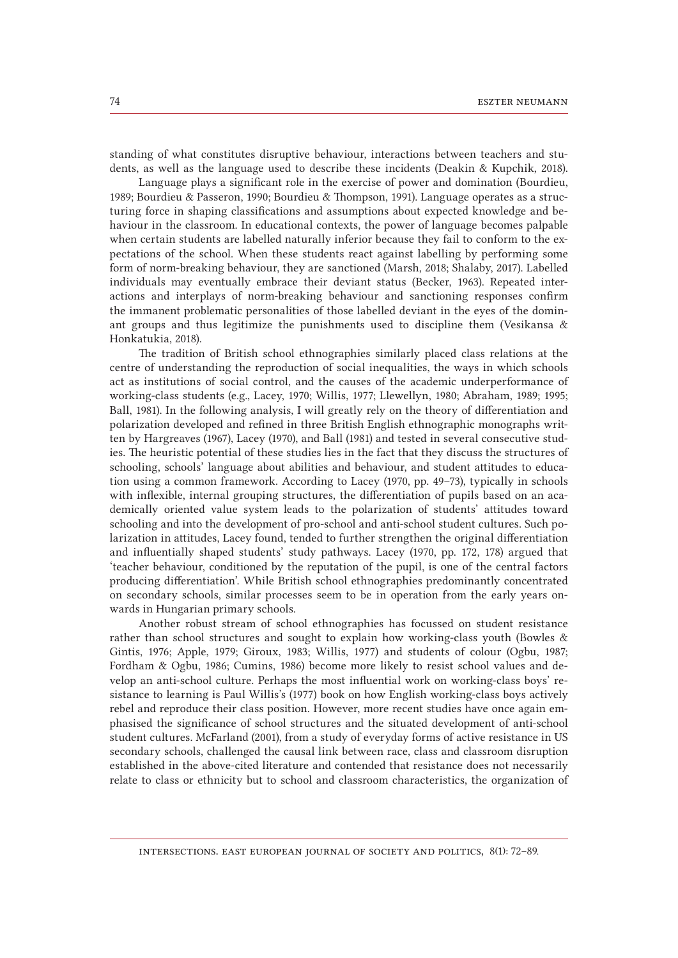standing of what constitutes disruptive behaviour, interactions between teachers and students, as well as the language used to describe these incidents (Deakin & Kupchik, 2018).

Language plays a significant role in the exercise of power and domination (Bourdieu, 1989; Bourdieu & Passeron, 1990; Bourdieu & Thompson, 1991). Language operates as a structuring force in shaping classifications and assumptions about expected knowledge and behaviour in the classroom. In educational contexts, the power of language becomes palpable when certain students are labelled naturally inferior because they fail to conform to the expectations of the school. When these students react against labelling by performing some form of norm-breaking behaviour, they are sanctioned (Marsh, 2018; Shalaby, 2017). Labelled individuals may eventually embrace their deviant status (Becker, 1963). Repeated interactions and interplays of norm-breaking behaviour and sanctioning responses confirm the immanent problematic personalities of those labelled deviant in the eyes of the dominant groups and thus legitimize the punishments used to discipline them (Vesikansa & Honkatukia, 2018).

The tradition of British school ethnographies similarly placed class relations at the centre of understanding the reproduction of social inequalities, the ways in which schools act as institutions of social control, and the causes of the academic underperformance of working-class students (e.g., Lacey, 1970; Willis, 1977; Llewellyn, 1980; Abraham, 1989; 1995; Ball, 1981). In the following analysis, I will greatly rely on the theory of differentiation and polarization developed and refined in three British English ethnographic monographs written by Hargreaves (1967), Lacey (1970), and Ball (1981) and tested in several consecutive studies. The heuristic potential of these studies lies in the fact that they discuss the structures of schooling, schools' language about abilities and behaviour, and student attitudes to education using a common framework. According to Lacey (1970, pp. 49–73), typically in schools with inflexible, internal grouping structures, the differentiation of pupils based on an academically oriented value system leads to the polarization of students' attitudes toward schooling and into the development of pro-school and anti-school student cultures. Such polarization in attitudes, Lacey found, tended to further strengthen the original differentiation and influentially shaped students' study pathways. Lacey (1970, pp. 172, 178) argued that 'teacher behaviour, conditioned by the reputation of the pupil, is one of the central factors producing differentiation'. While British school ethnographies predominantly concentrated on secondary schools, similar processes seem to be in operation from the early years onwards in Hungarian primary schools.

Another robust stream of school ethnographies has focussed on student resistance rather than school structures and sought to explain how working-class youth (Bowles & Gintis, 1976; Apple, 1979; Giroux, 1983; Willis, 1977) and students of colour (Ogbu, 1987; Fordham & Ogbu, 1986; Cumins, 1986) become more likely to resist school values and develop an anti-school culture. Perhaps the most influential work on working-class boys' resistance to learning is Paul Willis's (1977) book on how English working-class boys actively rebel and reproduce their class position. However, more recent studies have once again emphasised the significance of school structures and the situated development of anti-school student cultures. McFarland (2001), from a study of everyday forms of active resistance in US secondary schools, challenged the causal link between race, class and classroom disruption established in the above-cited literature and contended that resistance does not necessarily relate to class or ethnicity but to school and classroom characteristics, the organization of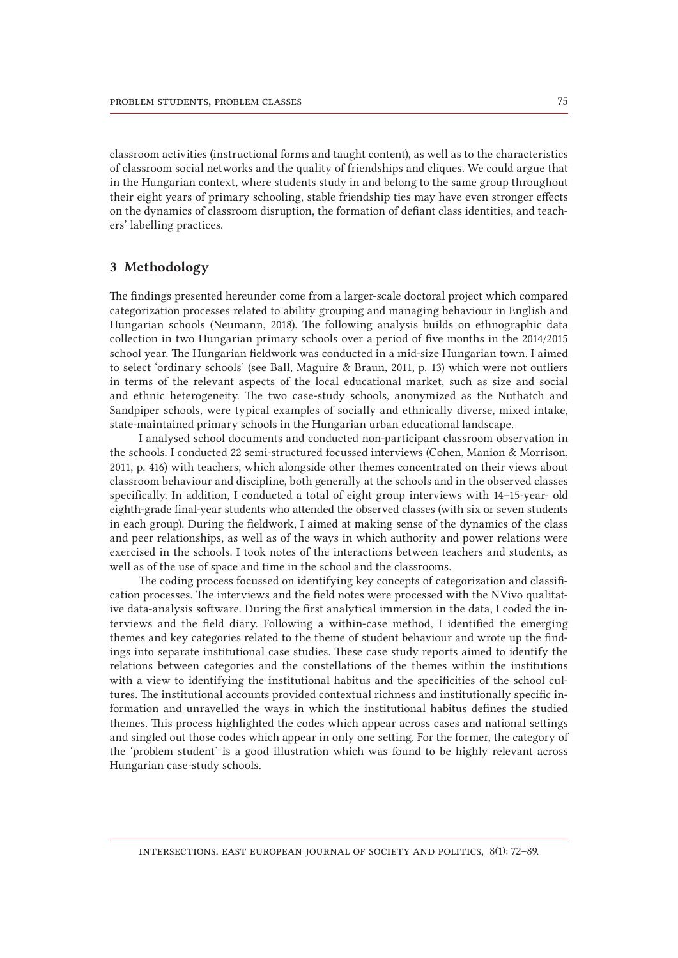classroom activities (instructional forms and taught content), as well as to the characteristics of classroom social networks and the quality of friendships and cliques. We could argue that in the Hungarian context, where students study in and belong to the same group throughout their eight years of primary schooling, stable friendship ties may have even stronger effects on the dynamics of classroom disruption, the formation of defiant class identities, and teachers' labelling practices.

#### 3 Methodology

The findings presented hereunder come from a larger-scale doctoral project which compared categorization processes related to ability grouping and managing behaviour in English and Hungarian schools (Neumann, 2018). The following analysis builds on ethnographic data collection in two Hungarian primary schools over a period of five months in the 2014/2015 school year. The Hungarian fieldwork was conducted in a mid-size Hungarian town. I aimed to select 'ordinary schools' (see Ball, Maguire & Braun, 2011, p. 13) which were not outliers in terms of the relevant aspects of the local educational market, such as size and social and ethnic heterogeneity. The two case-study schools, anonymized as the Nuthatch and Sandpiper schools, were typical examples of socially and ethnically diverse, mixed intake, state-maintained primary schools in the Hungarian urban educational landscape.

I analysed school documents and conducted non-participant classroom observation in the schools. I conducted 22 semi-structured focussed interviews (Cohen, Manion & Morrison, 2011, p. 416) with teachers, which alongside other themes concentrated on their views about classroom behaviour and discipline, both generally at the schools and in the observed classes specifically. In addition, I conducted a total of eight group interviews with 14–15-year- old eighth-grade final-year students who attended the observed classes (with six or seven students in each group). During the fieldwork, I aimed at making sense of the dynamics of the class and peer relationships, as well as of the ways in which authority and power relations were exercised in the schools. I took notes of the interactions between teachers and students, as well as of the use of space and time in the school and the classrooms.

The coding process focussed on identifying key concepts of categorization and classification processes. The interviews and the field notes were processed with the NVivo qualitative data-analysis software. During the first analytical immersion in the data, I coded the interviews and the field diary. Following a within-case method, I identified the emerging themes and key categories related to the theme of student behaviour and wrote up the findings into separate institutional case studies. These case study reports aimed to identify the relations between categories and the constellations of the themes within the institutions with a view to identifying the institutional habitus and the specificities of the school cultures. The institutional accounts provided contextual richness and institutionally specific information and unravelled the ways in which the institutional habitus defines the studied themes. This process highlighted the codes which appear across cases and national settings and singled out those codes which appear in only one setting. For the former, the category of the 'problem student' is a good illustration which was found to be highly relevant across Hungarian case-study schools.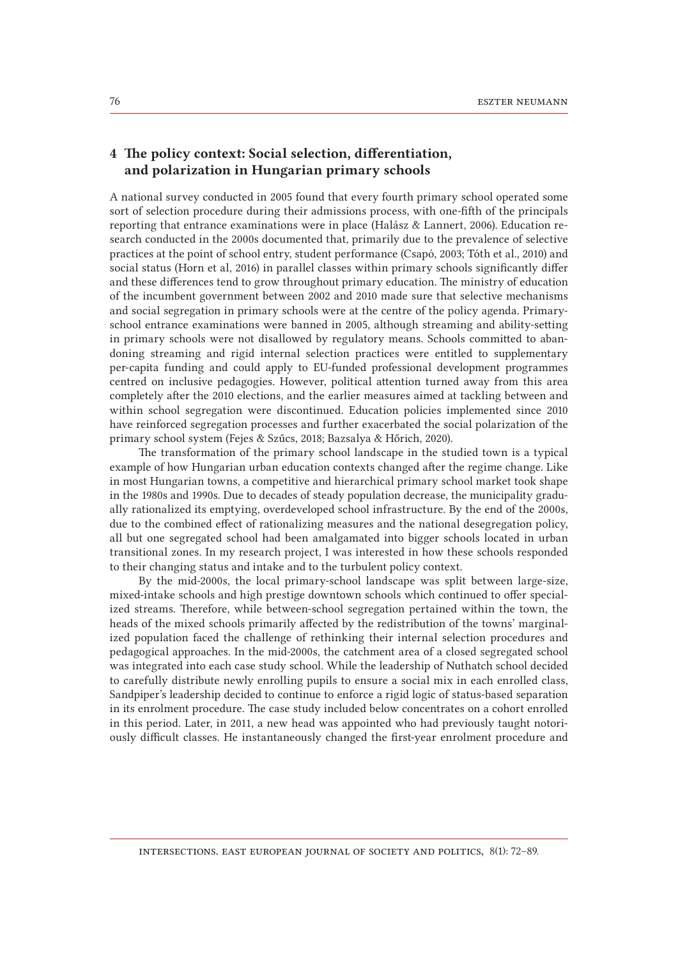## 4 The policy context: Social selection, differentiation, and polarization in Hungarian primary schools

A national survey conducted in 2005 found that every fourth primary school operated some sort of selection procedure during their admissions process, with one-fifth of the principals reporting that entrance examinations were in place (Halász & Lannert, 2006). Education research conducted in the 2000s documented that, primarily due to the prevalence of selective practices at the point of school entry, student performance (Csapó, 2003; Tóth et al., 2010) and social status (Horn et al, 2016) in parallel classes within primary schools significantly differ and these differences tend to grow throughout primary education. The ministry of education of the incumbent government between 2002 and 2010 made sure that selective mechanisms and social segregation in primary schools were at the centre of the policy agenda. Primaryschool entrance examinations were banned in 2005, although streaming and ability-setting in primary schools were not disallowed by regulatory means. Schools committed to abandoning streaming and rigid internal selection practices were entitled to supplementary per-capita funding and could apply to EU-funded professional development programmes centred on inclusive pedagogies. However, political attention turned away from this area completely after the 2010 elections, and the earlier measures aimed at tackling between and within school segregation were discontinued. Education policies implemented since 2010 have reinforced segregation processes and further exacerbated the social polarization of the primary school system (Fejes & Szűcs, 2018; Bazsalya & Hőrich, 2020).

The transformation of the primary school landscape in the studied town is a typical example of how Hungarian urban education contexts changed after the regime change. Like in most Hungarian towns, a competitive and hierarchical primary school market took shape in the 1980s and 1990s. Due to decades of steady population decrease, the municipality gradually rationalized its emptying, overdeveloped school infrastructure. By the end of the 2000s, due to the combined effect of rationalizing measures and the national desegregation policy, all but one segregated school had been amalgamated into bigger schools located in urban transitional zones. In my research project, I was interested in how these schools responded to their changing status and intake and to the turbulent policy context.

By the mid-2000s, the local primary-school landscape was split between large-size, mixed-intake schools and high prestige downtown schools which continued to offer specialized streams. Therefore, while between-school segregation pertained within the town, the heads of the mixed schools primarily affected by the redistribution of the towns' marginalized population faced the challenge of rethinking their internal selection procedures and pedagogical approaches. In the mid-2000s, the catchment area of a closed segregated school was integrated into each case study school. While the leadership of Nuthatch school decided to carefully distribute newly enrolling pupils to ensure a social mix in each enrolled class, Sandpiper's leadership decided to continue to enforce a rigid logic of status-based separation in its enrolment procedure. The case study included below concentrates on a cohort enrolled in this period. Later, in 2011, a new head was appointed who had previously taught notoriously difficult classes. He instantaneously changed the first-year enrolment procedure and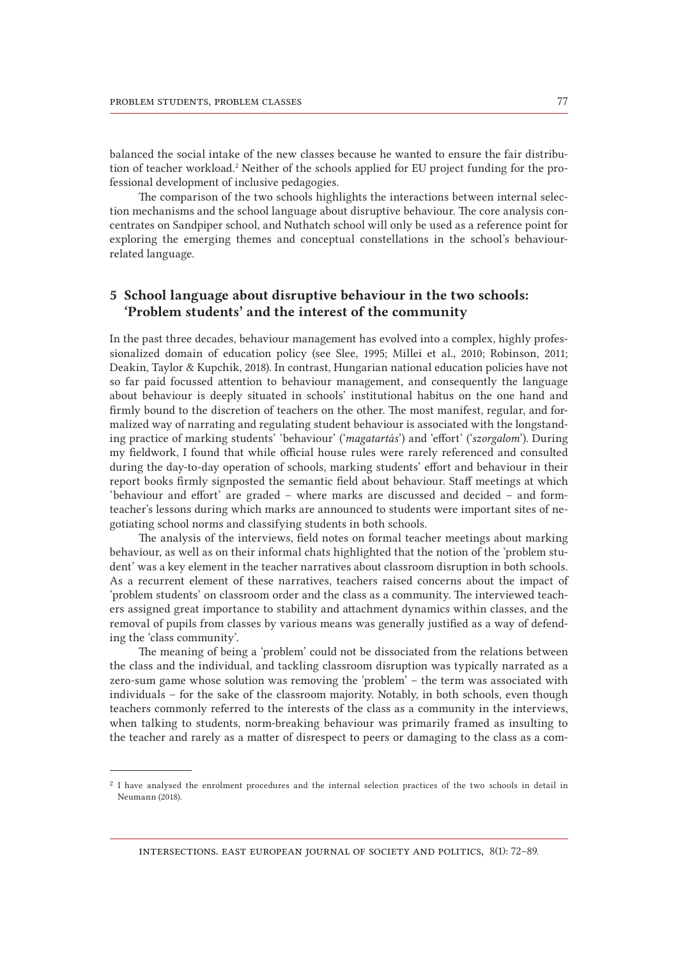balanced the social intake of the new classes because he wanted to ensure the fair distribution of teacher workload.<sup>2</sup> Neither of the schools applied for EU project funding for the professional development of inclusive pedagogies.

The comparison of the two schools highlights the interactions between internal selection mechanisms and the school language about disruptive behaviour. The core analysis concentrates on Sandpiper school, and Nuthatch school will only be used as a reference point for exploring the emerging themes and conceptual constellations in the school's behaviourrelated language.

## 5 School language about disruptive behaviour in the two schools: 'Problem students' and the interest of the community

In the past three decades, behaviour management has evolved into a complex, highly professionalized domain of education policy (see Slee, 1995; Millei et al., 2010; Robinson, 2011; Deakin, Taylor & Kupchik, 2018). In contrast, Hungarian national education policies have not so far paid focussed attention to behaviour management, and consequently the language about behaviour is deeply situated in schools' institutional habitus on the one hand and firmly bound to the discretion of teachers on the other. The most manifest, regular, and formalized way of narrating and regulating student behaviour is associated with the longstanding practice of marking students' 'behaviour' ('*magatartás*') and 'effort' ('*szorgalom*'). During my fieldwork, I found that while official house rules were rarely referenced and consulted during the day-to-day operation of schools, marking students' effort and behaviour in their report books firmly signposted the semantic field about behaviour. Staff meetings at which 'behaviour and effort' are graded – where marks are discussed and decided – and formteacher's lessons during which marks are announced to students were important sites of negotiating school norms and classifying students in both schools.

The analysis of the interviews, field notes on formal teacher meetings about marking behaviour, as well as on their informal chats highlighted that the notion of the 'problem student' was a key element in the teacher narratives about classroom disruption in both schools. As a recurrent element of these narratives, teachers raised concerns about the impact of 'problem students' on classroom order and the class as a community. The interviewed teachers assigned great importance to stability and attachment dynamics within classes, and the removal of pupils from classes by various means was generally justified as a way of defending the 'class community'.

The meaning of being a 'problem' could not be dissociated from the relations between the class and the individual, and tackling classroom disruption was typically narrated as a zero-sum game whose solution was removing the 'problem' – the term was associated with individuals – for the sake of the classroom majority. Notably, in both schools, even though teachers commonly referred to the interests of the class as a community in the interviews, when talking to students, norm-breaking behaviour was primarily framed as insulting to the teacher and rarely as a matter of disrespect to peers or damaging to the class as a com-

<sup>2</sup> I have analysed the enrolment procedures and the internal selection practices of the two schools in detail in Neumann (2018).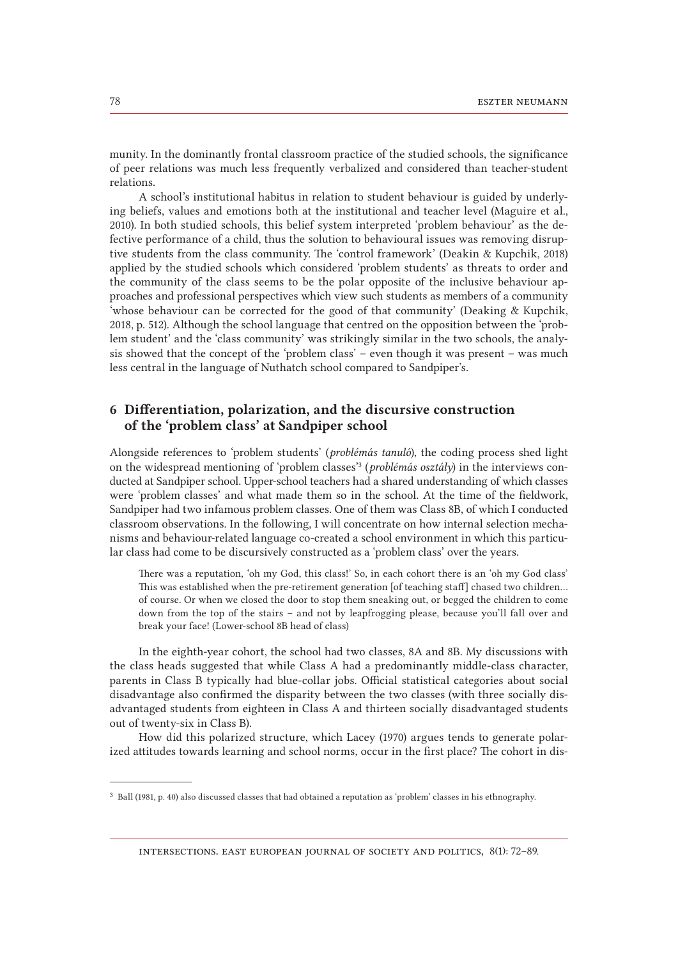munity. In the dominantly frontal classroom practice of the studied schools, the significance of peer relations was much less frequently verbalized and considered than teacher-student relations.

A school's institutional habitus in relation to student behaviour is guided by underlying beliefs, values and emotions both at the institutional and teacher level (Maguire et al., 2010). In both studied schools, this belief system interpreted 'problem behaviour' as the defective performance of a child, thus the solution to behavioural issues was removing disruptive students from the class community. The 'control framework' (Deakin & Kupchik, 2018) applied by the studied schools which considered 'problem students' as threats to order and the community of the class seems to be the polar opposite of the inclusive behaviour approaches and professional perspectives which view such students as members of a community 'whose behaviour can be corrected for the good of that community' (Deaking & Kupchik, 2018, p. 512). Although the school language that centred on the opposition between the 'problem student' and the 'class community' was strikingly similar in the two schools, the analysis showed that the concept of the 'problem class' – even though it was present – was much less central in the language of Nuthatch school compared to Sandpiper's.

# 6 Differentiation, polarization, and the discursive construction of the 'problem class' at Sandpiper school

Alongside references to 'problem students' (*problémás tanuló*), the coding process shed light on the widespread mentioning of 'problem classes'3 (*problémás osztály*) in the interviews conducted at Sandpiper school. Upper-school teachers had a shared understanding of which classes were 'problem classes' and what made them so in the school. At the time of the fieldwork, Sandpiper had two infamous problem classes. One of them was Class 8B, of which I conducted classroom observations. In the following, I will concentrate on how internal selection mechanisms and behaviour-related language co-created a school environment in which this particular class had come to be discursively constructed as a 'problem class' over the years.

There was a reputation, 'oh my God, this class!' So, in each cohort there is an 'oh my God class' This was established when the pre-retirement generation [of teaching staff] chased two children… of course. Or when we closed the door to stop them sneaking out, or begged the children to come down from the top of the stairs – and not by leapfrogging please, because you'll fall over and break your face! (Lower-school 8B head of class)

In the eighth-year cohort, the school had two classes, 8A and 8B. My discussions with the class heads suggested that while Class A had a predominantly middle-class character, parents in Class B typically had blue-collar jobs. Official statistical categories about social disadvantage also confirmed the disparity between the two classes (with three socially disadvantaged students from eighteen in Class A and thirteen socially disadvantaged students out of twenty-six in Class B).

How did this polarized structure, which Lacey (1970) argues tends to generate polarized attitudes towards learning and school norms, occur in the first place? The cohort in dis-

<sup>3</sup> Ball (1981, p. 40) also discussed classes that had obtained a reputation as 'problem' classes in his ethnography.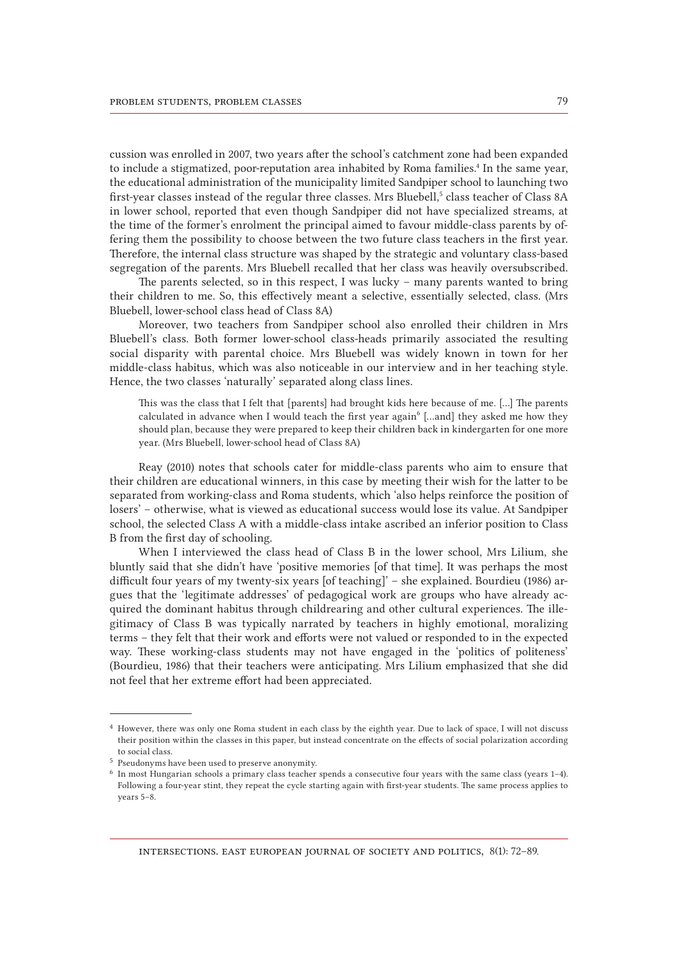cussion was enrolled in 2007, two years after the school's catchment zone had been expanded to include a stigmatized, poor-reputation area inhabited by Roma families.<sup>4</sup> In the same year, the educational administration of the municipality limited Sandpiper school to launching two first-year classes instead of the regular three classes. Mrs Bluebell, $5$  class teacher of Class 8A in lower school, reported that even though Sandpiper did not have specialized streams, at the time of the former's enrolment the principal aimed to favour middle-class parents by offering them the possibility to choose between the two future class teachers in the first year. Therefore, the internal class structure was shaped by the strategic and voluntary class-based segregation of the parents. Mrs Bluebell recalled that her class was heavily oversubscribed.

The parents selected, so in this respect, I was lucky – many parents wanted to bring their children to me. So, this effectively meant a selective, essentially selected, class. (Mrs Bluebell, lower-school class head of Class 8A)

Moreover, two teachers from Sandpiper school also enrolled their children in Mrs Bluebell's class. Both former lower-school class-heads primarily associated the resulting social disparity with parental choice. Mrs Bluebell was widely known in town for her middle-class habitus, which was also noticeable in our interview and in her teaching style. Hence, the two classes 'naturally' separated along class lines.

This was the class that I felt that [parents] had brought kids here because of me. […] The parents calculated in advance when I would teach the first year again<sup>6</sup> [...and] they asked me how they should plan, because they were prepared to keep their children back in kindergarten for one more year. (Mrs Bluebell, lower-school head of Class 8A)

Reay (2010) notes that schools cater for middle-class parents who aim to ensure that their children are educational winners, in this case by meeting their wish for the latter to be separated from working-class and Roma students, which 'also helps reinforce the position of losers' – otherwise, what is viewed as educational success would lose its value. At Sandpiper school, the selected Class A with a middle-class intake ascribed an inferior position to Class B from the first day of schooling.

When I interviewed the class head of Class B in the lower school, Mrs Lilium, she bluntly said that she didn't have 'positive memories [of that time]. It was perhaps the most difficult four years of my twenty-six years [of teaching]' – she explained. Bourdieu (1986) argues that the 'legitimate addresses' of pedagogical work are groups who have already acquired the dominant habitus through childrearing and other cultural experiences. The illegitimacy of Class B was typically narrated by teachers in highly emotional, moralizing terms – they felt that their work and efforts were not valued or responded to in the expected way. These working-class students may not have engaged in the 'politics of politeness' (Bourdieu, 1986) that their teachers were anticipating. Mrs Lilium emphasized that she did not feel that her extreme effort had been appreciated.

<sup>4</sup> However, there was only one Roma student in each class by the eighth year. Due to lack of space, I will not discuss their position within the classes in this paper, but instead concentrate on the effects of social polarization according to social class.

<sup>5</sup> Pseudonyms have been used to preserve anonymity.

<sup>6</sup> In most Hungarian schools a primary class teacher spends a consecutive four years with the same class (years 1–4). Following a four-year stint, they repeat the cycle starting again with first-year students. The same process applies to years 5–8.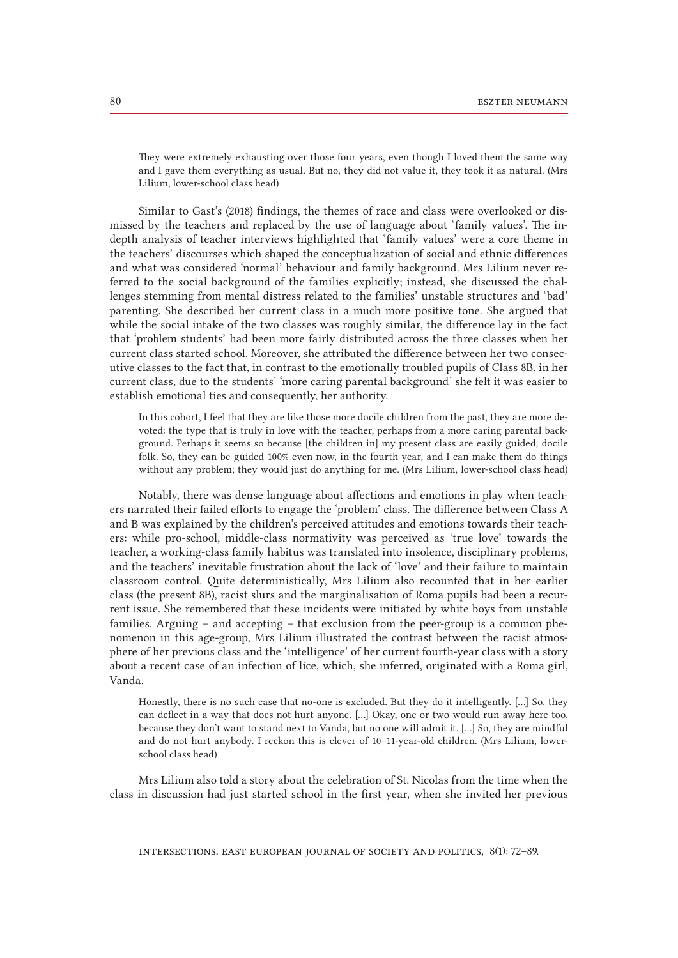They were extremely exhausting over those four years, even though I loved them the same way and I gave them everything as usual. But no, they did not value it, they took it as natural. (Mrs Lilium, lower-school class head)

Similar to Gast's (2018) findings, the themes of race and class were overlooked or dismissed by the teachers and replaced by the use of language about 'family values'. The indepth analysis of teacher interviews highlighted that 'family values' were a core theme in the teachers' discourses which shaped the conceptualization of social and ethnic differences and what was considered 'normal' behaviour and family background. Mrs Lilium never referred to the social background of the families explicitly; instead, she discussed the challenges stemming from mental distress related to the families' unstable structures and 'bad' parenting. She described her current class in a much more positive tone. She argued that while the social intake of the two classes was roughly similar, the difference lay in the fact that 'problem students' had been more fairly distributed across the three classes when her current class started school. Moreover, she attributed the difference between her two consecutive classes to the fact that, in contrast to the emotionally troubled pupils of Class 8B, in her current class, due to the students' 'more caring parental background' she felt it was easier to establish emotional ties and consequently, her authority.

In this cohort, I feel that they are like those more docile children from the past, they are more devoted: the type that is truly in love with the teacher, perhaps from a more caring parental background. Perhaps it seems so because [the children in] my present class are easily guided, docile folk. So, they can be guided 100% even now, in the fourth year, and I can make them do things without any problem; they would just do anything for me. (Mrs Lilium, lower-school class head)

Notably, there was dense language about affections and emotions in play when teachers narrated their failed efforts to engage the 'problem' class. The difference between Class A and B was explained by the children's perceived attitudes and emotions towards their teachers: while pro-school, middle-class normativity was perceived as 'true love' towards the teacher, a working-class family habitus was translated into insolence, disciplinary problems, and the teachers' inevitable frustration about the lack of 'love' and their failure to maintain classroom control. Quite deterministically, Mrs Lilium also recounted that in her earlier class (the present 8B), racist slurs and the marginalisation of Roma pupils had been a recurrent issue. She remembered that these incidents were initiated by white boys from unstable families. Arguing – and accepting – that exclusion from the peer-group is a common phenomenon in this age-group, Mrs Lilium illustrated the contrast between the racist atmosphere of her previous class and the 'intelligence' of her current fourth-year class with a story about a recent case of an infection of lice, which, she inferred, originated with a Roma girl, Vanda.

Honestly, there is no such case that no-one is excluded. But they do it intelligently. […] So, they can deflect in a way that does not hurt anyone. […] Okay, one or two would run away here too, because they don't want to stand next to Vanda, but no one will admit it. […] So, they are mindful and do not hurt anybody. I reckon this is clever of 10–11-year-old children. (Mrs Lilium, lowerschool class head)

Mrs Lilium also told a story about the celebration of St. Nicolas from the time when the class in discussion had just started school in the first year, when she invited her previous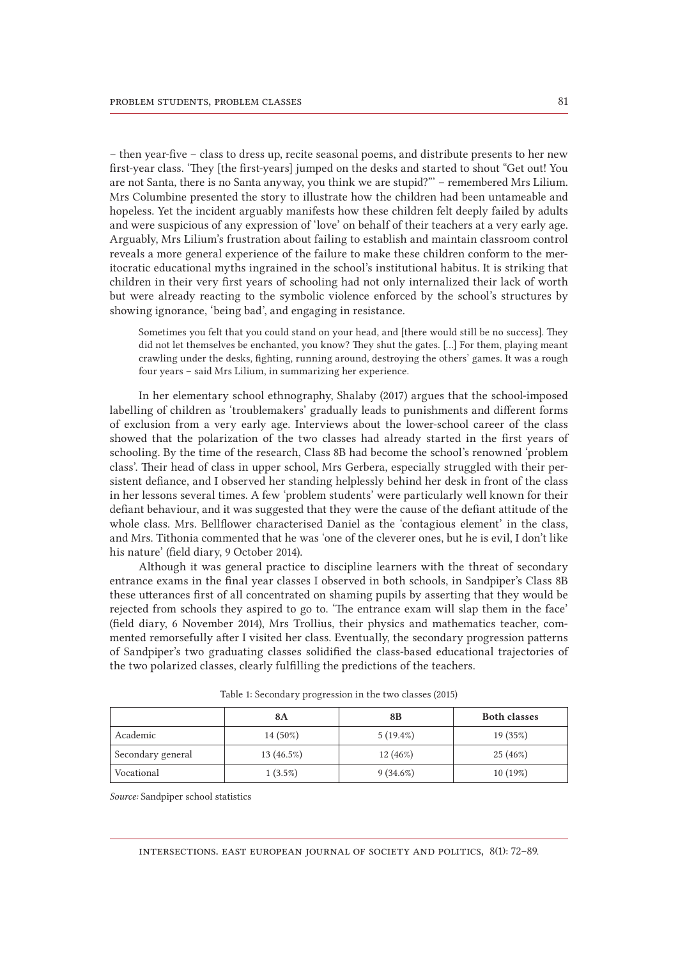– then year-five – class to dress up, recite seasonal poems, and distribute presents to her new first-year class. 'They [the first-years] jumped on the desks and started to shout "Get out! You are not Santa, there is no Santa anyway, you think we are stupid?"' – remembered Mrs Lilium. Mrs Columbine presented the story to illustrate how the children had been untameable and hopeless. Yet the incident arguably manifests how these children felt deeply failed by adults and were suspicious of any expression of 'love' on behalf of their teachers at a very early age. Arguably, Mrs Lilium's frustration about failing to establish and maintain classroom control reveals a more general experience of the failure to make these children conform to the meritocratic educational myths ingrained in the school's institutional habitus. It is striking that children in their very first years of schooling had not only internalized their lack of worth but were already reacting to the symbolic violence enforced by the school's structures by showing ignorance, 'being bad', and engaging in resistance.

Sometimes you felt that you could stand on your head, and [there would still be no success]. They did not let themselves be enchanted, you know? They shut the gates. […] For them, playing meant crawling under the desks, fighting, running around, destroying the others' games. It was a rough four years – said Mrs Lilium, in summarizing her experience.

In her elementary school ethnography, Shalaby (2017) argues that the school-imposed labelling of children as 'troublemakers' gradually leads to punishments and different forms of exclusion from a very early age. Interviews about the lower-school career of the class showed that the polarization of the two classes had already started in the first years of schooling. By the time of the research, Class 8B had become the school's renowned 'problem class'. Their head of class in upper school, Mrs Gerbera, especially struggled with their persistent defiance, and I observed her standing helplessly behind her desk in front of the class in her lessons several times. A few 'problem students' were particularly well known for their defiant behaviour, and it was suggested that they were the cause of the defiant attitude of the whole class. Mrs. Bellflower characterised Daniel as the 'contagious element' in the class, and Mrs. Tithonia commented that he was 'one of the cleverer ones, but he is evil, I don't like his nature' (field diary, 9 October 2014).

Although it was general practice to discipline learners with the threat of secondary entrance exams in the final year classes I observed in both schools, in Sandpiper's Class 8B these utterances first of all concentrated on shaming pupils by asserting that they would be rejected from schools they aspired to go to. 'The entrance exam will slap them in the face' (field diary, 6 November 2014), Mrs Trollius, their physics and mathematics teacher, commented remorsefully after I visited her class. Eventually, the secondary progression patterns of Sandpiper's two graduating classes solidified the class-based educational trajectories of the two polarized classes, clearly fulfilling the predictions of the teachers.

|                   | 8A         | 8B          | <b>Both classes</b> |
|-------------------|------------|-------------|---------------------|
| Academic          | 14 (50%)   | $5(19.4\%)$ | 19 (35%)            |
| Secondary general | 13(46.5%)  | $12(46\%)$  | 25 (46%)            |
| Vocational        | $1(3.5\%)$ | $9(34.6\%)$ | 10(19%)             |

Table 1: Secondary progression in the two classes (2015)

*Source:* Sandpiper school statistics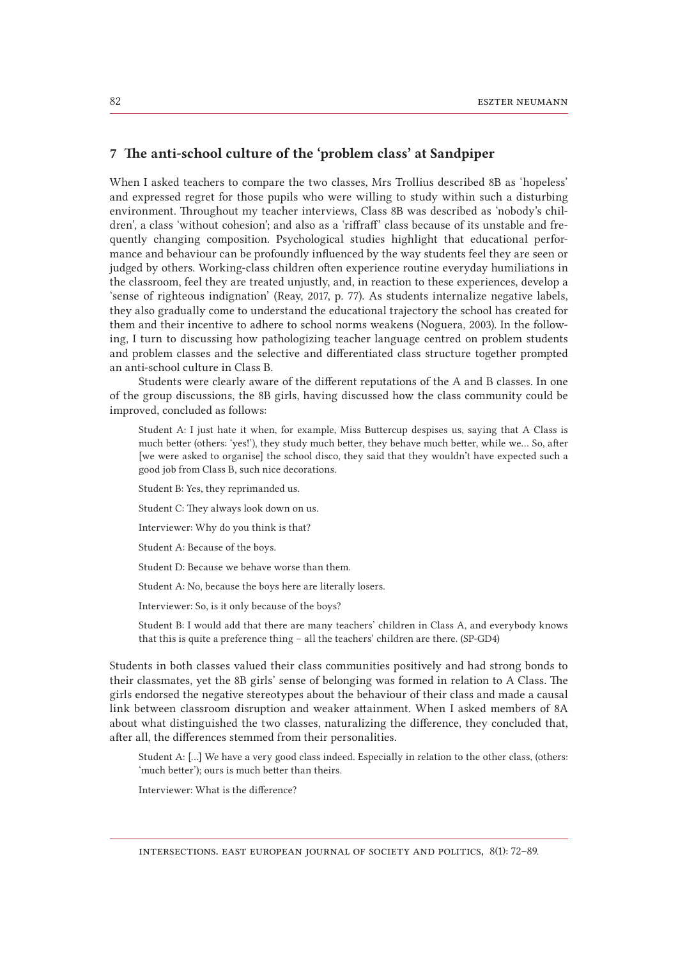#### 7 The anti-school culture of the 'problem class' at Sandpiper

When I asked teachers to compare the two classes, Mrs Trollius described 8B as 'hopeless' and expressed regret for those pupils who were willing to study within such a disturbing environment. Throughout my teacher interviews, Class 8B was described as 'nobody's children', a class 'without cohesion'; and also as a 'riffraff' class because of its unstable and frequently changing composition. Psychological studies highlight that educational performance and behaviour can be profoundly influenced by the way students feel they are seen or judged by others. Working-class children often experience routine everyday humiliations in the classroom, feel they are treated unjustly, and, in reaction to these experiences, develop a 'sense of righteous indignation' (Reay, 2017, p. 77). As students internalize negative labels, they also gradually come to understand the educational trajectory the school has created for them and their incentive to adhere to school norms weakens (Noguera, 2003). In the following, I turn to discussing how pathologizing teacher language centred on problem students and problem classes and the selective and differentiated class structure together prompted an anti-school culture in Class B.

Students were clearly aware of the different reputations of the A and B classes. In one of the group discussions, the 8B girls, having discussed how the class community could be improved, concluded as follows:

Student A: I just hate it when, for example, Miss Buttercup despises us, saying that A Class is much better (others: 'yes!'), they study much better, they behave much better, while we… So, after [we were asked to organise] the school disco, they said that they wouldn't have expected such a good job from Class B, such nice decorations.

Student B: Yes, they reprimanded us.

Student C: They always look down on us.

Interviewer: Why do you think is that?

Student A: Because of the boys.

Student D: Because we behave worse than them.

Student A: No, because the boys here are literally losers.

Interviewer: So, is it only because of the boys?

Student B: I would add that there are many teachers' children in Class A, and everybody knows that this is quite a preference thing – all the teachers' children are there. (SP-GD4)

Students in both classes valued their class communities positively and had strong bonds to their classmates, yet the 8B girls' sense of belonging was formed in relation to A Class. The girls endorsed the negative stereotypes about the behaviour of their class and made a causal link between classroom disruption and weaker attainment. When I asked members of 8A about what distinguished the two classes, naturalizing the difference, they concluded that, after all, the differences stemmed from their personalities.

Student A: […] We have a very good class indeed. Especially in relation to the other class, (others: 'much better'); ours is much better than theirs.

Interviewer: What is the difference?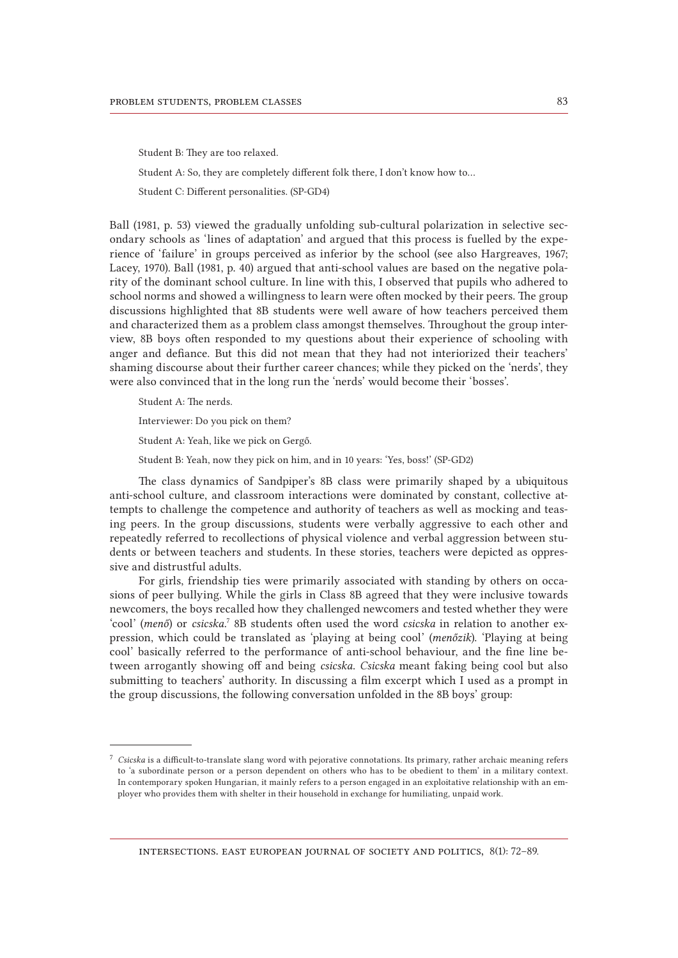Student B: They are too relaxed.

Student A: So, they are completely different folk there, I don't know how to…

Student C: Different personalities. (SP-GD4)

Ball (1981, p. 53) viewed the gradually unfolding sub-cultural polarization in selective secondary schools as 'lines of adaptation' and argued that this process is fuelled by the experience of 'failure' in groups perceived as inferior by the school (see also Hargreaves, 1967; Lacey, 1970). Ball (1981, p. 40) argued that anti-school values are based on the negative polarity of the dominant school culture. In line with this, I observed that pupils who adhered to school norms and showed a willingness to learn were often mocked by their peers. The group discussions highlighted that 8B students were well aware of how teachers perceived them and characterized them as a problem class amongst themselves. Throughout the group interview, 8B boys often responded to my questions about their experience of schooling with anger and defiance. But this did not mean that they had not interiorized their teachers' shaming discourse about their further career chances; while they picked on the 'nerds', they were also convinced that in the long run the 'nerds' would become their 'bosses'.

Student A: The nerds.

Interviewer: Do you pick on them?

Student A: Yeah, like we pick on Gergő.

Student B: Yeah, now they pick on him, and in 10 years: 'Yes, boss!' (SP-GD2)

The class dynamics of Sandpiper's 8B class were primarily shaped by a ubiquitous anti-school culture, and classroom interactions were dominated by constant, collective attempts to challenge the competence and authority of teachers as well as mocking and teasing peers. In the group discussions, students were verbally aggressive to each other and repeatedly referred to recollections of physical violence and verbal aggression between students or between teachers and students. In these stories, teachers were depicted as oppressive and distrustful adults.

For girls, friendship ties were primarily associated with standing by others on occasions of peer bullying. While the girls in Class 8B agreed that they were inclusive towards newcomers, the boys recalled how they challenged newcomers and tested whether they were 'cool' (menő) or *csicska*.<sup>7</sup> 8B students often used the word *csicska* in relation to another expression, which could be translated as 'playing at being cool' (*menőzik*). 'Playing at being cool' basically referred to the performance of anti-school behaviour, and the fine line between arrogantly showing off and being *csicska*. *Csicska* meant faking being cool but also submitting to teachers' authority. In discussing a film excerpt which I used as a prompt in the group discussions, the following conversation unfolded in the 8B boys' group:

<sup>7</sup> *Csicska* is a difficult-to-translate slang word with pejorative connotations. Its primary, rather archaic meaning refers to 'a subordinate person or a person dependent on others who has to be obedient to them' in a military context. In contemporary spoken Hungarian, it mainly refers to a person engaged in an exploitative relationship with an employer who provides them with shelter in their household in exchange for humiliating, unpaid work.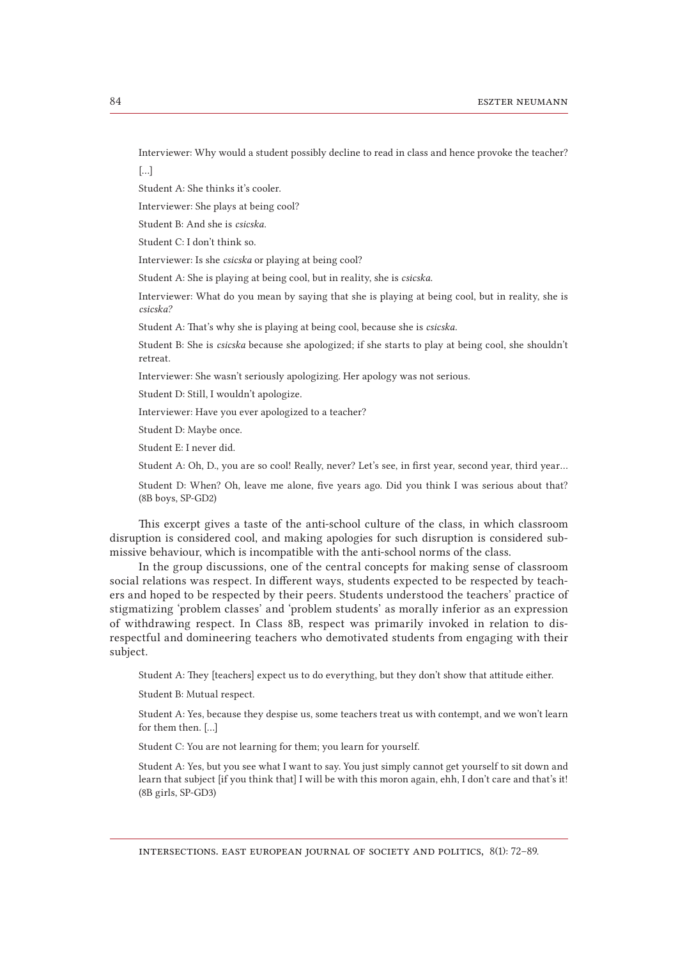Interviewer: Why would a student possibly decline to read in class and hence provoke the teacher?

[…]

Student A: She thinks it's cooler.

Interviewer: She plays at being cool?

Student B: And she is *csicska*.

Student C: I don't think so.

Interviewer: Is she *csicska* or playing at being cool?

Student A: She is playing at being cool, but in reality, she is *csicska*.

Interviewer: What do you mean by saying that she is playing at being cool, but in reality, she is *csicska?*

Student A: That's why she is playing at being cool, because she is *csicska*.

Student B: She is *csicska* because she apologized; if she starts to play at being cool, she shouldn't retreat.

Interviewer: She wasn't seriously apologizing. Her apology was not serious.

Student D: Still, I wouldn't apologize.

Interviewer: Have you ever apologized to a teacher?

Student D: Maybe once.

Student E: I never did.

Student A: Oh, D., you are so cool! Really, never? Let's see, in first year, second year, third year …

Student D: When? Oh, leave me alone, five years ago. Did you think I was serious about that? (8B boys, SP-GD2)

This excerpt gives a taste of the anti-school culture of the class, in which classroom disruption is considered cool, and making apologies for such disruption is considered submissive behaviour, which is incompatible with the anti-school norms of the class.

In the group discussions, one of the central concepts for making sense of classroom social relations was respect. In different ways, students expected to be respected by teachers and hoped to be respected by their peers. Students understood the teachers' practice of stigmatizing 'problem classes' and 'problem students' as morally inferior as an expression of withdrawing respect. In Class 8B, respect was primarily invoked in relation to disrespectful and domineering teachers who demotivated students from engaging with their subject.

Student A: They [teachers] expect us to do everything, but they don't show that attitude either.

Student B: Mutual respect.

Student A: Yes, because they despise us, some teachers treat us with contempt, and we won't learn for them then. […]

Student C: You are not learning for them; you learn for yourself.

Student A: Yes, but you see what I want to say. You just simply cannot get yourself to sit down and learn that subject [if you think that] I will be with this moron again, ehh, I don't care and that's it! (8B girls, SP-GD3)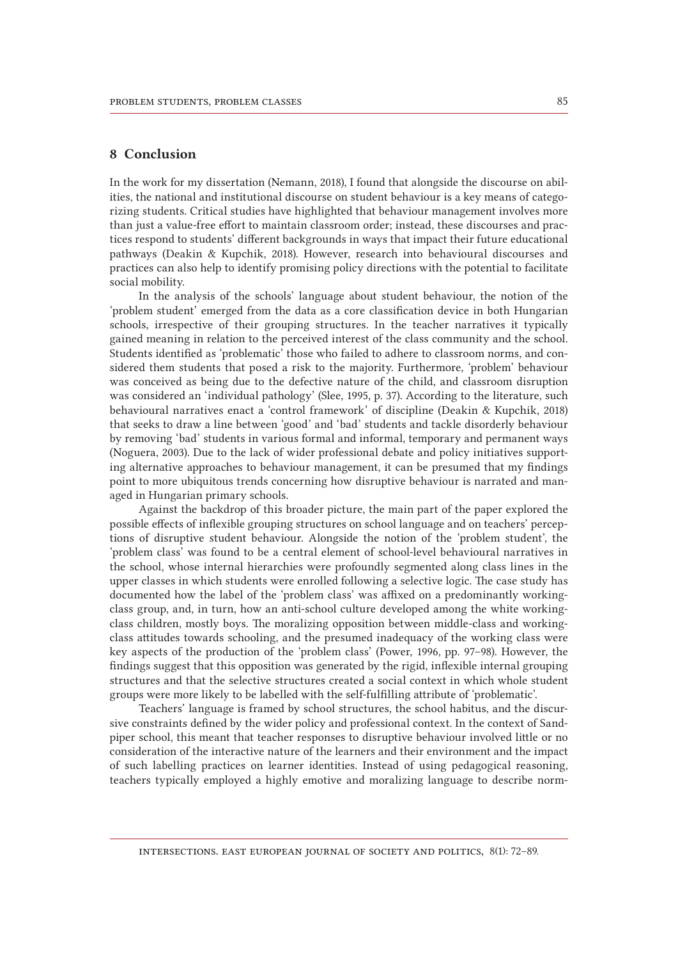#### 8 Conclusion

In the work for my dissertation (Nemann, 2018), I found that alongside the discourse on abilities, the national and institutional discourse on student behaviour is a key means of categorizing students. Critical studies have highlighted that behaviour management involves more than just a value-free effort to maintain classroom order; instead, these discourses and practices respond to students' different backgrounds in ways that impact their future educational pathways (Deakin & Kupchik, 2018). However, research into behavioural discourses and practices can also help to identify promising policy directions with the potential to facilitate social mobility.

In the analysis of the schools' language about student behaviour, the notion of the 'problem student' emerged from the data as a core classification device in both Hungarian schools, irrespective of their grouping structures. In the teacher narratives it typically gained meaning in relation to the perceived interest of the class community and the school. Students identified as 'problematic' those who failed to adhere to classroom norms, and considered them students that posed a risk to the majority. Furthermore, 'problem' behaviour was conceived as being due to the defective nature of the child, and classroom disruption was considered an 'individual pathology' (Slee, 1995, p. 37). According to the literature, such behavioural narratives enact a 'control framework' of discipline (Deakin & Kupchik, 2018) that seeks to draw a line between 'good' and 'bad' students and tackle disorderly behaviour by removing 'bad' students in various formal and informal, temporary and permanent ways (Noguera, 2003). Due to the lack of wider professional debate and policy initiatives supporting alternative approaches to behaviour management, it can be presumed that my findings point to more ubiquitous trends concerning how disruptive behaviour is narrated and managed in Hungarian primary schools.

Against the backdrop of this broader picture, the main part of the paper explored the possible effects of inflexible grouping structures on school language and on teachers' perceptions of disruptive student behaviour. Alongside the notion of the 'problem student', the 'problem class' was found to be a central element of school-level behavioural narratives in the school, whose internal hierarchies were profoundly segmented along class lines in the upper classes in which students were enrolled following a selective logic. The case study has documented how the label of the 'problem class' was affixed on a predominantly workingclass group, and, in turn, how an anti-school culture developed among the white workingclass children, mostly boys. The moralizing opposition between middle-class and workingclass attitudes towards schooling, and the presumed inadequacy of the working class were key aspects of the production of the 'problem class' (Power, 1996, pp. 97–98). However, the findings suggest that this opposition was generated by the rigid, inflexible internal grouping structures and that the selective structures created a social context in which whole student groups were more likely to be labelled with the self-fulfilling attribute of 'problematic'.

Teachers' language is framed by school structures, the school habitus, and the discursive constraints defined by the wider policy and professional context. In the context of Sandpiper school, this meant that teacher responses to disruptive behaviour involved little or no consideration of the interactive nature of the learners and their environment and the impact of such labelling practices on learner identities. Instead of using pedagogical reasoning, teachers typically employed a highly emotive and moralizing language to describe norm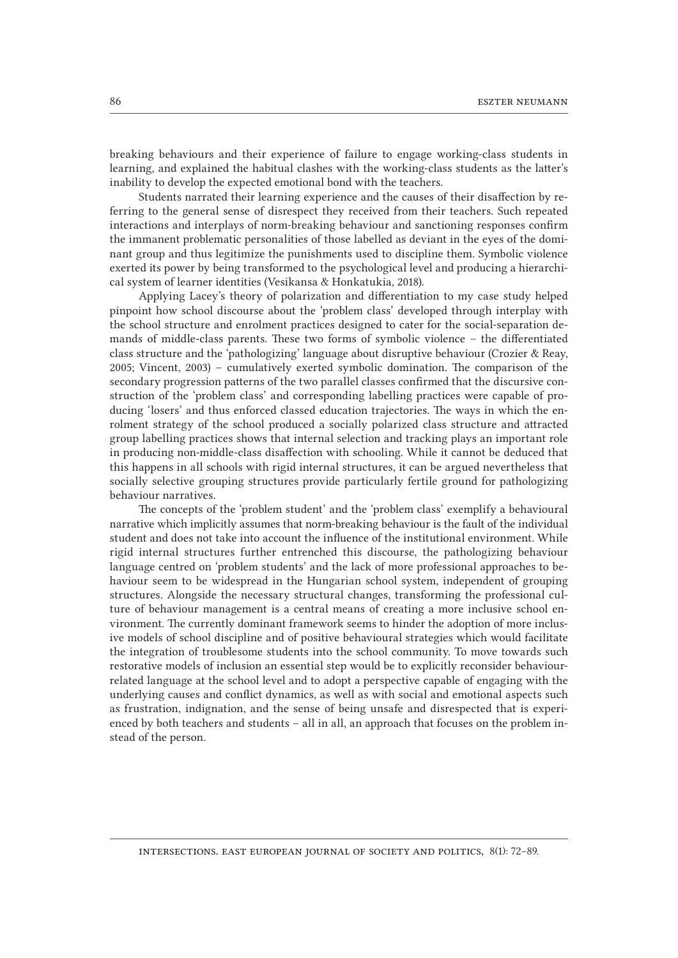breaking behaviours and their experience of failure to engage working-class students in learning, and explained the habitual clashes with the working-class students as the latter's inability to develop the expected emotional bond with the teachers.

Students narrated their learning experience and the causes of their disaffection by referring to the general sense of disrespect they received from their teachers. Such repeated interactions and interplays of norm-breaking behaviour and sanctioning responses confirm the immanent problematic personalities of those labelled as deviant in the eyes of the dominant group and thus legitimize the punishments used to discipline them. Symbolic violence exerted its power by being transformed to the psychological level and producing a hierarchical system of learner identities (Vesikansa & Honkatukia, 2018).

Applying Lacey's theory of polarization and differentiation to my case study helped pinpoint how school discourse about the 'problem class' developed through interplay with the school structure and enrolment practices designed to cater for the social-separation demands of middle-class parents. These two forms of symbolic violence – the differentiated class structure and the 'pathologizing' language about disruptive behaviour (Crozier & Reay, 2005; Vincent, 2003) – cumulatively exerted symbolic domination. The comparison of the secondary progression patterns of the two parallel classes confirmed that the discursive construction of the 'problem class' and corresponding labelling practices were capable of producing 'losers' and thus enforced classed education trajectories. The ways in which the enrolment strategy of the school produced a socially polarized class structure and attracted group labelling practices shows that internal selection and tracking plays an important role in producing non-middle-class disaffection with schooling. While it cannot be deduced that this happens in all schools with rigid internal structures, it can be argued nevertheless that socially selective grouping structures provide particularly fertile ground for pathologizing behaviour narratives.

The concepts of the 'problem student' and the 'problem class' exemplify a behavioural narrative which implicitly assumes that norm-breaking behaviour is the fault of the individual student and does not take into account the influence of the institutional environment. While rigid internal structures further entrenched this discourse, the pathologizing behaviour language centred on 'problem students' and the lack of more professional approaches to behaviour seem to be widespread in the Hungarian school system, independent of grouping structures. Alongside the necessary structural changes, transforming the professional culture of behaviour management is a central means of creating a more inclusive school environment. The currently dominant framework seems to hinder the adoption of more inclusive models of school discipline and of positive behavioural strategies which would facilitate the integration of troublesome students into the school community. To move towards such restorative models of inclusion an essential step would be to explicitly reconsider behaviourrelated language at the school level and to adopt a perspective capable of engaging with the underlying causes and conflict dynamics, as well as with social and emotional aspects such as frustration, indignation, and the sense of being unsafe and disrespected that is experienced by both teachers and students – all in all, an approach that focuses on the problem instead of the person.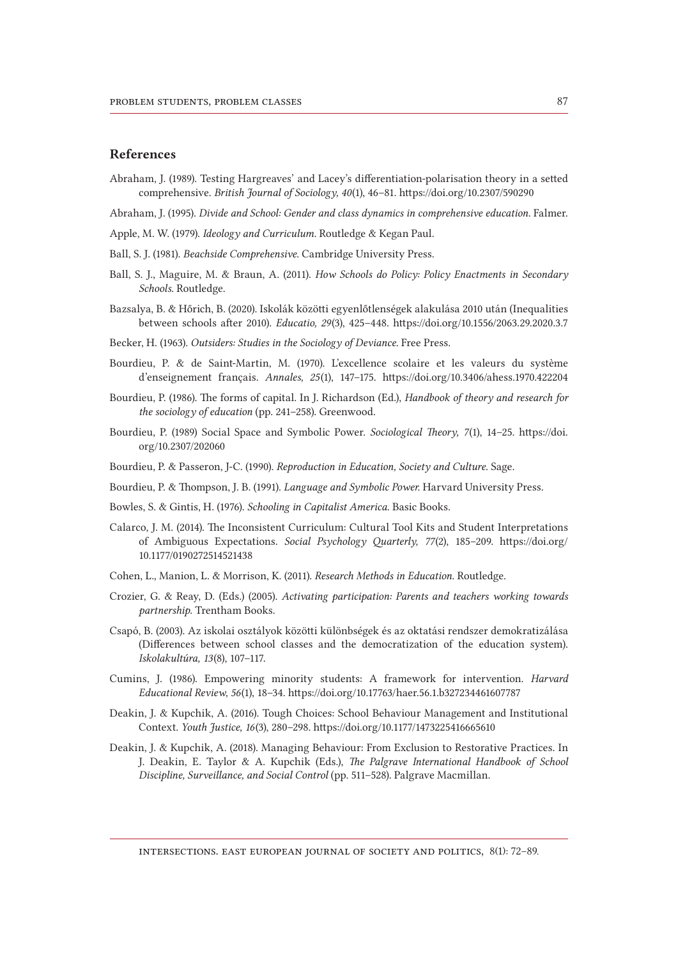#### References

Abraham, J. (1989). Testing Hargreaves' and Lacey's differentiation-polarisation theory in a setted comprehensive. *British Journal of Sociology, 40*(1), 46–81. https://doi.org/10.2307/590290

Abraham, J. (1995). *Divide and School: Gender and class dynamics in comprehensive education*. Falmer.

- Apple, M. W. (1979). *Ideology and Curriculum*. Routledge & Kegan Paul.
- Ball, S. J. (1981). *Beachside Comprehensive*. Cambridge University Press.
- Ball, S. J., Maguire, M. & Braun, A. (2011). *How Schools do Policy: Policy Enactments in Secondary Schools*. Routledge.
- Bazsalya, B. & Hőrich, B. (2020). Iskolák közötti egyenlőtlenségek alakulása 2010 után (Inequalities between schools after 2010). *Educatio, 29*(3), 425–448. https://doi.org/10.1556/2063.29.2020.3.7

Becker, H. (1963). *Outsiders: Studies in the Sociology of Deviance*. Free Press.

- Bourdieu, P. & de Saint-Martin, M. (1970). L'excellence scolaire et les valeurs du système d'enseignement français. *Annales, 25*(1), 147–175. https://doi.org/10.3406/ahess.1970.422204
- Bourdieu, P. (1986). The forms of capital. In J. Richardson (Ed.), *Handbook of theory and research for the sociology of education* (pp. 241–258). Greenwood.
- Bourdieu, P. (1989) Social Space and Symbolic Power. *Sociological Theory, 7*(1), 14–25. [https://doi.](https://doi.org/10.2307/202060) [org/10.2307/202060](https://doi.org/10.2307/202060)
- Bourdieu, P. & Passeron, J-C. (1990). *Reproduction in Education, Society and Culture*. Sage.
- Bourdieu, P. & Thompson, J. B. (1991). *Language and Symbolic Power*. Harvard University Press.
- Bowles, S. & Gintis, H. (1976). *Schooling in Capitalist America*. Basic Books.
- Calarco, J. M. (2014). The Inconsistent Curriculum: Cultural Tool Kits and Student Interpretations of Ambiguous Expectations. *Social Psychology Quarterly, 77*(2), 185–209. [https://doi.org/](https://doi.org/10.1177/0190272514521438) [10.1177/0190272514521438](https://doi.org/10.1177/0190272514521438)
- Cohen, L., Manion, L. & Morrison, K. (2011). *Research Methods in Education.* Routledge.
- Crozier, G. & Reay, D. (Eds.) (2005). *Activating participation: Parents and teachers working towards partnership*. Trentham Books.
- Csapó, B. (2003). Az iskolai osztályok közötti különbségek és az oktatási rendszer demokratizálása (Differences between school classes and the democratization of the education system). *Iskolakultúra, 13*(8), 107–117.
- Cumins, J. (1986). Empowering minority students: A framework for intervention. *Harvard Educational Review, 56*(1), 18–34. https://doi.org/10.17763/haer.56.1.b327234461607787
- Deakin, J. & Kupchik, A. (2016). Tough Choices: School Behaviour Management and Institutional Context. *Youth Justice, 16*(3), 280–298. https://doi.org/10.1177/1473225416665610
- Deakin, J. & Kupchik, A. (2018). Managing Behaviour: From Exclusion to Restorative Practices. In J. Deakin, E. Taylor & A. Kupchik (Eds.), *The Palgrave International Handbook of School Discipline, Surveillance, and Social Control* (pp. 511–528). Palgrave Macmillan.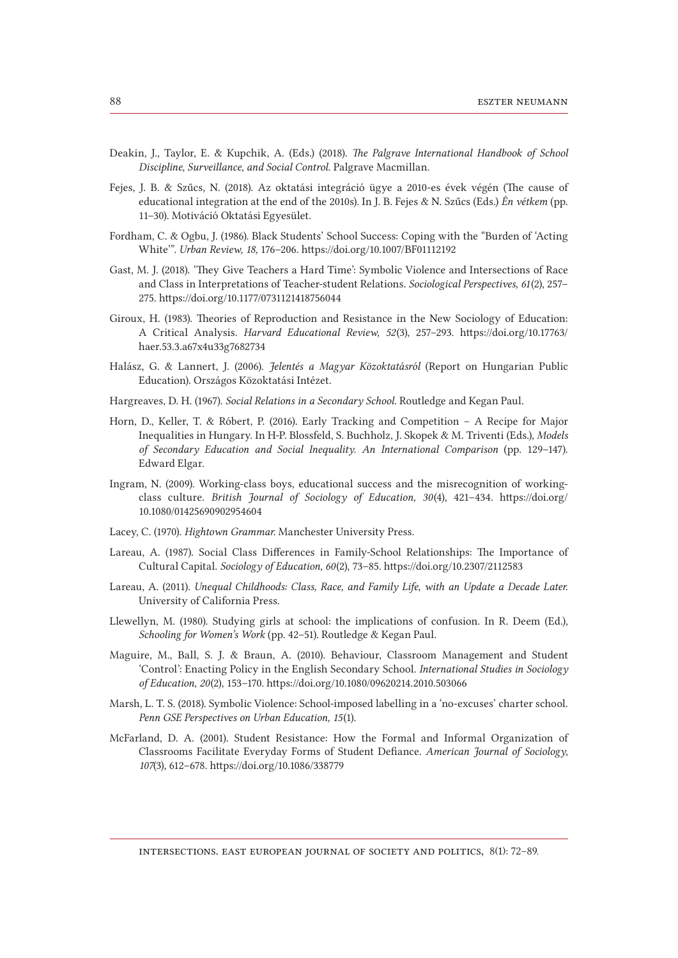- Deakin, J., Taylor, E. & Kupchik, A. (Eds.) (2018). *The Palgrave International Handbook of School Discipline, Surveillance, and Social Control*. Palgrave Macmillan.
- Fejes, J. B. & Szűcs, N. (2018). Az oktatási integráció ügye a 2010-es évek végén (The cause of educational integration at the end of the 2010s). In J. B. Fejes & N. Szűcs (Eds.) *Én vétkem* (pp. 11–30). Motiváció Oktatási Egyesület.
- Fordham, C. & Ogbu, J. (1986). Black Students' School Success: Coping with the "Burden of 'Acting White'". *Urban Review, 18,* 176–206. https://doi.org/10.1007/BF01112192
- Gast, M. J. (2018). 'They Give Teachers a Hard Time': Symbolic Violence and Intersections of Race and Class in Interpretations of Teacher-student Relations. *Sociological Perspectives, 61*(2), 257– 275. https://doi.org/10.1177/0731121418756044
- Giroux, H. (1983). Theories of Reproduction and Resistance in the New Sociology of Education: A Critical Analysis. *Harvard Educational Review, 52*(3), 257–293. [https://doi.org/10.17763/](https://doi.org/10.17763/haer.53.3.a67x4u33g7682734) [haer.53.3.a67x4u33g7682734](https://doi.org/10.17763/haer.53.3.a67x4u33g7682734)
- Halász, G. & Lannert, J. (2006). *Jelentés a Magyar Közoktatásról* (Report on Hungarian Public Education). Országos Közoktatási Intézet.
- Hargreaves, D. H. (1967). *Social Relations in a Secondary School*. Routledge and Kegan Paul.
- Horn, D., Keller, T. & Róbert, P. (2016). Early Tracking and Competition A Recipe for Major Inequalities in Hungary. In H-P. Blossfeld, S. Buchholz, J. Skopek & M. Triventi (Eds.), *Models of Secondary Education and Social Inequality. An International Comparison* (pp. 129–147). Edward Elgar.
- Ingram, N. (2009). Working-class boys, educational success and the misrecognition of workingclass culture. *British Journal of Sociology of Education, 30*(4), 421–434. [https://doi.org/](https://doi.org/10.1080/01425690902954604) [10.1080/01425690902954604](https://doi.org/10.1080/01425690902954604)
- Lacey, C. (1970). *Hightown Grammar*. Manchester University Press.
- Lareau, A. (1987). Social Class Differences in Family-School Relationships: The Importance of Cultural Capital. *Sociology of Education, 60*(2), 73–85. https://doi.org/10.2307/2112583
- Lareau, A. (2011). *Unequal Childhoods: Class, Race, and Family Life, with an Update a Decade Later*. University of California Press.
- Llewellyn, M. (1980). Studying girls at school: the implications of confusion. In R. Deem (Ed.), *Schooling for Women's Work* (pp. 42–51)*.* Routledge & Kegan Paul.
- Maguire, M., Ball, S. J. & Braun, A. (2010). Behaviour, Classroom Management and Student 'Control': Enacting Policy in the English Secondary School. *International Studies in Sociology of Education, 20*(2), 153–170. https://doi.org/10.1080/09620214.2010.503066
- Marsh, L. T. S. (2018). Symbolic Violence: School-imposed labelling in a 'no-excuses' charter school. *Penn GSE Perspectives on Urban Education, 15*(1).
- McFarland, D. A. (2001). Student Resistance: How the Formal and Informal Organization of Classrooms Facilitate Everyday Forms of Student Defiance. *American Journal of Sociology, 107*(3), 612–678. https://doi.org/10.1086/338779